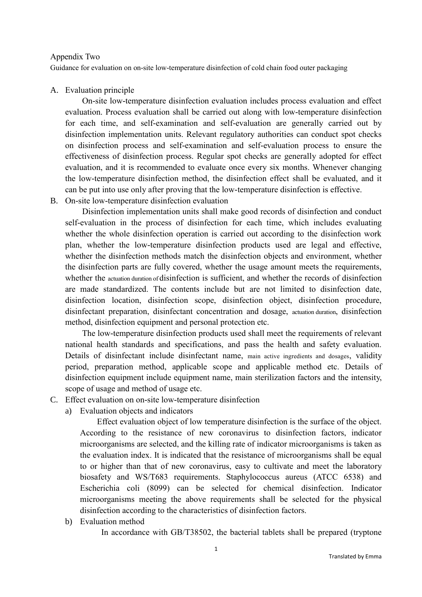#### Appendix Two

Guidance for evaluation on on-site low-temperature disinfection of cold chain food outer packaging

#### A. Evaluation principle

 On-site low-temperature disinfection evaluation includes process evaluation and effect evaluation. Process evaluation shall be carried out along with low-temperature disinfection for each time, and self-examination and self-evaluation are generally carried out by disinfection implementation units. Relevant regulatory authorities can conduct spot checks on disinfection process and self-examination and self-evaluation process to ensure the effectiveness of disinfection process. Regular spot checks are generally adopted for effect evaluation, and it is recommended to evaluate once every six months. Whenever changing the low-temperature disinfection method, the disinfection effect shall be evaluated, and it can be put into use only after proving that the low-temperature disinfection is effective.

# B. On-site low-temperature disinfection evaluation

Disinfection implementation units shall make good records of disinfection and conduct self-evaluation in the process of disinfection for each time, which includes evaluating whether the whole disinfection operation is carried out according to the disinfection work plan, whether the low-temperature disinfection products used are legal and effective, whether the disinfection methods match the disinfection objects and environment, whether the disinfection parts are fully covered, whether the usage amount meets the requirements, whether the actuation duration of disinfection is sufficient, and whether the records of disinfection are made standardized. The contents include but are not limited to disinfection date, disinfection location, disinfection scope, disinfection object, disinfection procedure, disinfectant preparation, disinfectant concentration and dosage, actuation duration, disinfection method, disinfection equipment and personal protection etc.

The low-temperature disinfection products used shall meet the requirements of relevant national health standards and specifications, and pass the health and safety evaluation. Details of disinfectant include disinfectant name, main active ingredients and dosages, validity period, preparation method, applicable scope and applicable method etc. Details of disinfection equipment include equipment name, main sterilization factors and the intensity, scope of usage and method of usage etc.

### C. Effect evaluation on on-site low-temperature disinfection

a) Evaluation objects and indicators

 Effect evaluation object of low temperature disinfection is the surface of the object. According to the resistance of new coronavirus to disinfection factors, indicator microorganisms are selected, and the killing rate of indicator microorganisms is taken as the evaluation index. It is indicated that the resistance of microorganisms shall be equal to or higher than that of new coronavirus, easy to cultivate and meet the laboratory biosafety and WS/T683 requirements. Staphylococcus aureus (ATCC 6538) and Escherichia coli (8099) can be selected for chemical disinfection. Indicator microorganisms meeting the above requirements shall be selected for the physical disinfection according to the characteristics of disinfection factors.

b) Evaluation method

In accordance with GB/T38502, the bacterial tablets shall be prepared (tryptone